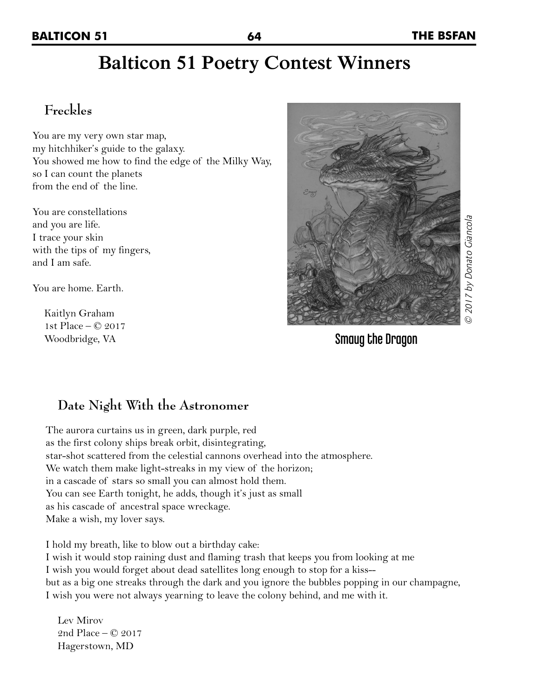## **Balticon 51 Poetry Contest Winners**

## **Freckles**

You are my very own star map, my hitchhiker's guide to the galaxy. You showed me how to find the edge of the Milky Way, so I can count the planets from the end of the line.

You are constellations and you are life. I trace your skin with the tips of my fingers, and I am safe.

You are home. Earth.

Kaitlyn Graham 1st Place – © 2017 Woodbridge, VA



Smaug the Dragon

### **Date Night With the Astronomer**

The aurora curtains us in green, dark purple, red as the first colony ships break orbit, disintegrating, star-shot scattered from the celestial cannons overhead into the atmosphere. We watch them make light-streaks in my view of the horizon; in a cascade of stars so small you can almost hold them. You can see Earth tonight, he adds, though it's just as small as his cascade of ancestral space wreckage. Make a wish, my lover says.

I hold my breath, like to blow out a birthday cake: I wish it would stop raining dust and flaming trash that keeps you from looking at me I wish you would forget about dead satellites long enough to stop for a kiss- but as a big one streaks through the dark and you ignore the bubbles popping in our champagne, I wish you were not always yearning to leave the colony behind, and me with it.

Lev Mirov 2nd Place – © 2017 Hagerstown, MD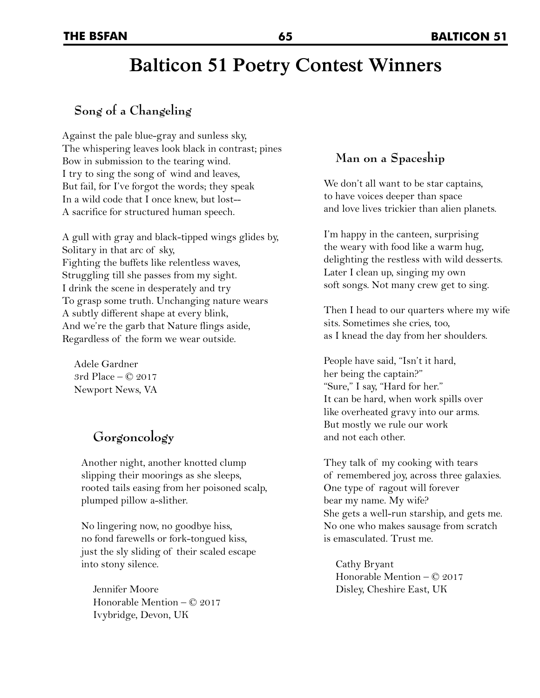# **Balticon 51 Poetry Contest Winners**

#### **Song of a Changeling**

Against the pale blue-gray and sunless sky, The whispering leaves look black in contrast; pines Bow in submission to the tearing wind. I try to sing the song of wind and leaves, But fail, for I've forgot the words; they speak In a wild code that I once knew, but lost-- A sacrifice for structured human speech.

A gull with gray and black-tipped wings glides by, Solitary in that arc of sky, Fighting the buffets like relentless waves, Struggling till she passes from my sight. I drink the scene in desperately and try To grasp some truth. Unchanging nature wears A subtly different shape at every blink, And we're the garb that Nature flings aside, Regardless of the form we wear outside.

Adele Gardner 3rd Place – © 2017 Newport News, VA

### **Gorgoncology**

Another night, another knotted clump slipping their moorings as she sleeps, rooted tails easing from her poisoned scalp, plumped pillow a-slither.

No lingering now, no goodbye hiss, no fond farewells or fork-tongued kiss, just the sly sliding of their scaled escape into stony silence.

Jennifer Moore Honorable Mention – © 2017 Ivybridge, Devon, UK

#### **Man on a Spaceship**

We don't all want to be star captains, to have voices deeper than space and love lives trickier than alien planets.

I'm happy in the canteen, surprising the weary with food like a warm hug, delighting the restless with wild desserts. Later I clean up, singing my own soft songs. Not many crew get to sing.

Then I head to our quarters where my wife sits. Sometimes she cries, too, as I knead the day from her shoulders.

People have said, "Isn't it hard, her being the captain?" "Sure," I say, "Hard for her." It can be hard, when work spills over like overheated gravy into our arms. But mostly we rule our work and not each other.

They talk of my cooking with tears of remembered joy, across three galaxies. One type of ragout will forever bear my name. My wife? She gets a well-run starship, and gets me. No one who makes sausage from scratch is emasculated. Trust me.

Cathy Bryant Honorable Mention – © 2017 Disley, Cheshire East, UK